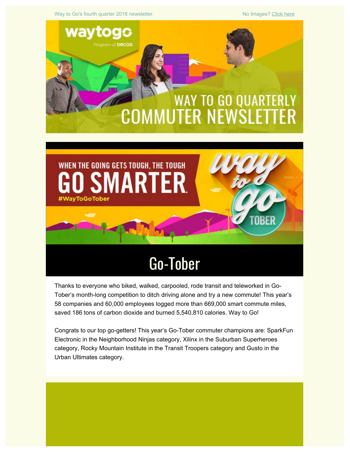Way to Go's fourth quarter 2018 newsletter. No Images? [Click here](https://drcog.createsend1.com/t/d-e-ngljlt-l-q/)



Thanks to everyone who biked, walked, carpooled, rode transit and teleworked in Go-Tober's month-long competition to ditch driving alone and try a new commute! This year's 58 companies and 60,000 employees logged more than 669,000 smart commute miles, saved 186 tons of carbon dioxide and burned 5,540,810 calories. Way to Go!

Congrats to our top go-getters! This year's Go-Tober commuter champions are: SparkFun Electronic in the Neighborhood Ninjas category, Xilinx in the Suburban Superheroes category, Rocky Mountain Institute in the Transit Troopers category and Gusto in the Urban Ultimates category.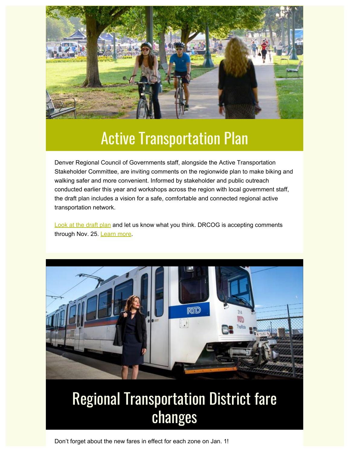

#### Active Transportation Plan

Denver Regional Council of Governments staff, alongside the Active Transportation Stakeholder Committee, are inviting comments on the regionwide plan to make biking and walking safer and more convenient. Informed by stakeholder and public outreach conducted earlier this year and workshops across the region with local government staff, the draft plan includes a vision for a safe, comfortable and connected regional active transportation network.

**[Look at the draft plan](https://drcog.createsend1.com/t/d-l-ngljlt-l-y/) and let us know what you think. DRCOG is accepting comments** through Nov. 25. [Learn more](https://drcog.createsend1.com/t/d-l-ngljlt-l-j/).



## Regional Transportation District fare changes

Don't forget about the new fares in effect for each zone on Jan. 1!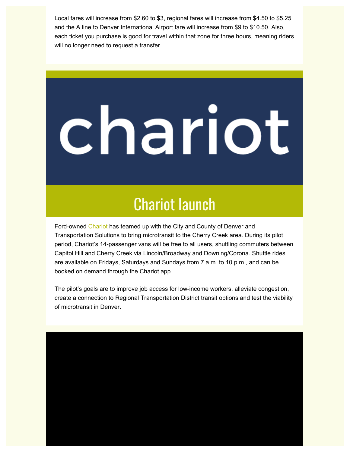Local fares will increase from \$2.60 to \$3, regional fares will increase from \$4.50 to \$5.25 and the A line to Denver International Airport fare will increase from \$9 to \$10.50. Also, each ticket you purchase is good for travel within that zone for three hours, meaning riders will no longer need to request a transfer.

# chariot

#### Chariot launch

Ford-owned [Chariot](https://drcog.createsend1.com/t/d-l-ngljlt-l-t/) has teamed up with the City and County of Denver and Transportation Solutions to bring microtransit to the Cherry Creek area. During its pilot period, Chariot's 14-passenger vans will be free to all users, shuttling commuters between Capitol Hill and Cherry Creek via Lincoln/Broadway and Downing/Corona. Shuttle rides are available on Fridays, Saturdays and Sundays from 7 a.m. to 10 p.m., and can be booked on demand through the Chariot app.

The pilot's goals are to improve job access for low-income workers, alleviate congestion, create a connection to Regional Transportation District transit options and test the viability of microtransit in Denver.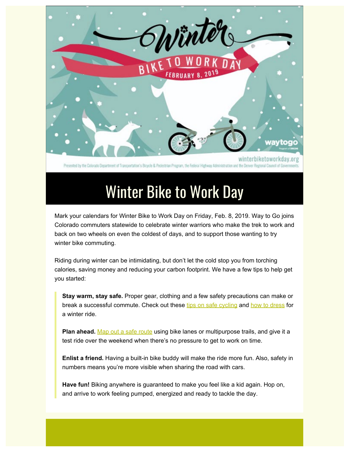

Presented by the Colorado Department of Transportation's Blowde & Pedestrian Program, the Federal Highway Administration and the

## Winter Bike to Work Day

Mark your calendars for Winter Bike to Work Day on Friday, Feb. 8, 2019. Way to Go joins Colorado commuters statewide to celebrate winter warriors who make the trek to work and back on two wheels on even the coldest of days, and to support those wanting to try winter bike commuting.

Riding during winter can be intimidating, but don't let the cold stop you from torching calories, saving money and reducing your carbon footprint. We have a few tips to help get you started:

**Stay warm, stay safe.** Proper gear, clothing and a few safety precautions can make or break a successful commute. Check out these [tips on safe cycling](https://drcog.createsend1.com/t/d-l-ngljlt-l-i/) and [how to dress](https://drcog.createsend1.com/t/d-l-ngljlt-l-d/) for a winter ride.

**Plan ahead.** [Map out a safe route](https://drcog.createsend1.com/t/d-l-ngljlt-l-h/) using bike lanes or multipurpose trails, and give it a test ride over the weekend when there's no pressure to get to work on time.

**Enlist a friend.** Having a built-in bike buddy will make the ride more fun. Also, safety in numbers means you're more visible when sharing the road with cars.

**Have fun!** Biking anywhere is guaranteed to make you feel like a kid again. Hop on, and arrive to work feeling pumped, energized and ready to tackle the day.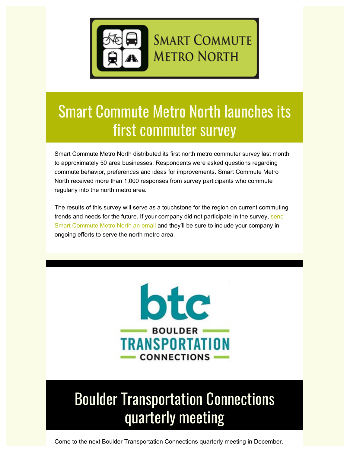

## Smart Commute Metro North launches its first commuter survey

Smart Commute Metro North distributed its first north metro commuter survey last month to approximately 50 area businesses. Respondents were asked questions regarding commute behavior, preferences and ideas for improvements. Smart Commute Metro North received more than 1,000 responses from survey participants who commute regularly into the north metro area.

The results of this survey will serve as a touchstone for the region on current commuting trends and needs for the future. If your company did not participate in the survey, [send](mailto:info@smartcommutemetronorth.org) [Smart Commute Metro North an email](mailto:info@smartcommutemetronorth.org) and they'll be sure to include your company in ongoing efforts to serve the north metro area.



# Boulder Transportation Connections quarterly meeting

Come to the next Boulder Transportation Connections quarterly meeting in December.